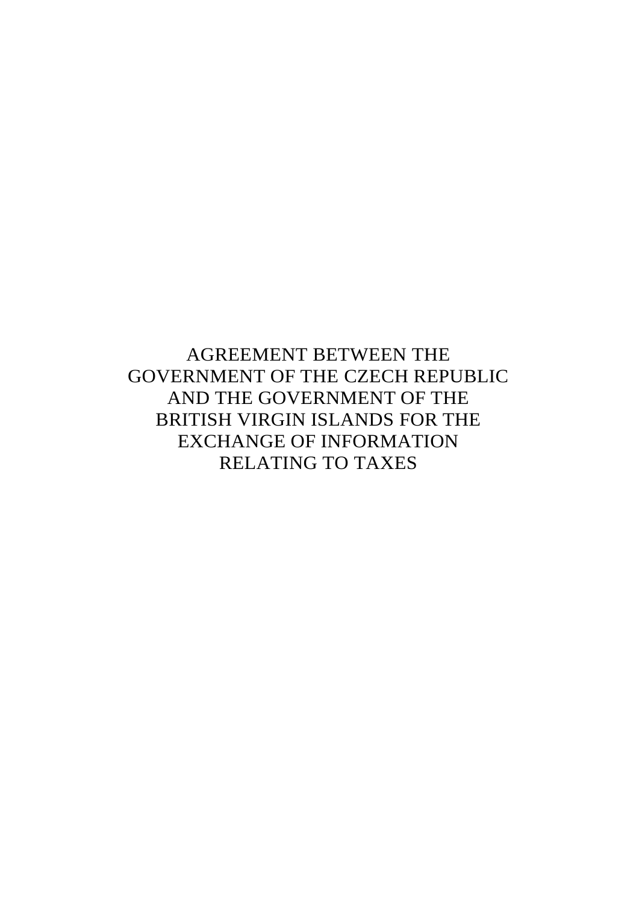AGREEMENT BETWEEN THE GOVERNMENT OF THE CZECH REPUBLIC AND THE GOVERNMENT OF THE BRITISH VIRGIN ISLANDS FOR THE EXCHANGE OF INFORMATION RELATING TO TAXES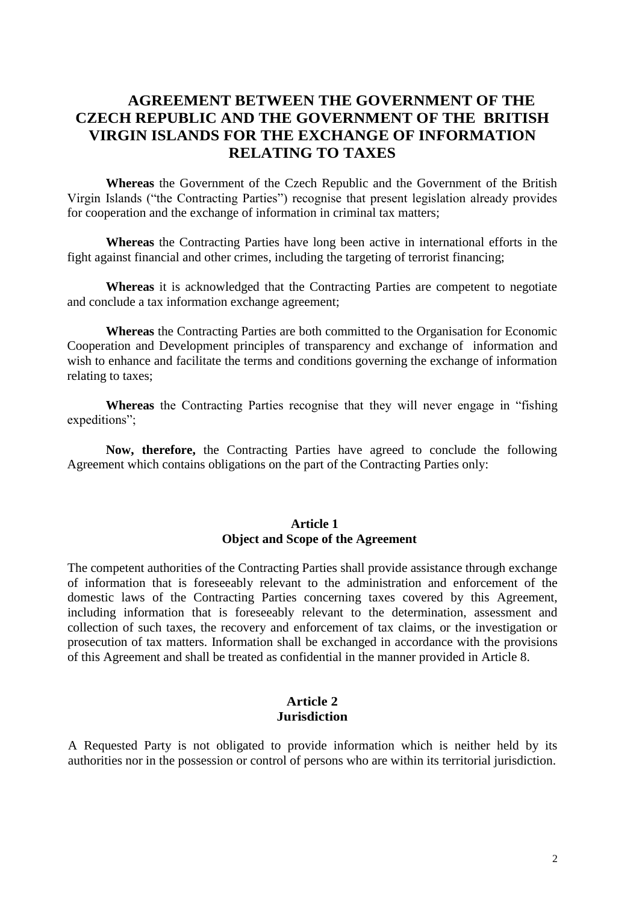# **AGREEMENT BETWEEN THE GOVERNMENT OF THE CZECH REPUBLIC AND THE GOVERNMENT OF THE BRITISH VIRGIN ISLANDS FOR THE EXCHANGE OF INFORMATION RELATING TO TAXES**

**Whereas** the Government of the Czech Republic and the Government of the British Virgin Islands ("the Contracting Parties") recognise that present legislation already provides for cooperation and the exchange of information in criminal tax matters;

 **Whereas** the Contracting Parties have long been active in international efforts in the fight against financial and other crimes, including the targeting of terrorist financing;

 **Whereas** it is acknowledged that the Contracting Parties are competent to negotiate and conclude a tax information exchange agreement;

 **Whereas** the Contracting Parties are both committed to the Organisation for Economic Cooperation and Development principles of transparency and exchange of information and wish to enhance and facilitate the terms and conditions governing the exchange of information relating to taxes;

**Whereas** the Contracting Parties recognise that they will never engage in "fishing expeditions";

 **Now, therefore,** the Contracting Parties have agreed to conclude the following Agreement which contains obligations on the part of the Contracting Parties only:

# **Article 1 Object and Scope of the Agreement**

The competent authorities of the Contracting Parties shall provide assistance through exchange of information that is foreseeably relevant to the administration and enforcement of the domestic laws of the Contracting Parties concerning taxes covered by this Agreement, including information that is foreseeably relevant to the determination, assessment and collection of such taxes, the recovery and enforcement of tax claims, or the investigation or prosecution of tax matters. Information shall be exchanged in accordance with the provisions of this Agreement and shall be treated as confidential in the manner provided in Article 8.

#### **Article 2 Jurisdiction**

A Requested Party is not obligated to provide information which is neither held by its authorities nor in the possession or control of persons who are within its territorial jurisdiction.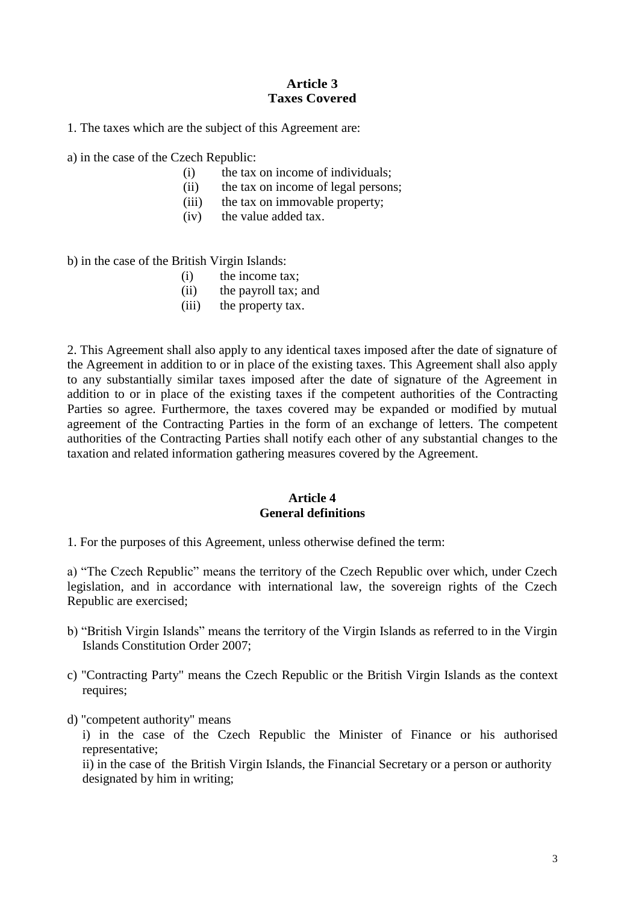# **Article 3 Taxes Covered**

1. The taxes which are the subject of this Agreement are:

a) in the case of the Czech Republic:

- (i) the tax on income of individuals;
- (ii) the tax on income of legal persons;
- (iii) the tax on immovable property;
- (iv) the value added tax.

b) in the case of the British Virgin Islands:

- (i) the income tax;
- (ii) the payroll tax; and
- (iii) the property tax.

2. This Agreement shall also apply to any identical taxes imposed after the date of signature of the Agreement in addition to or in place of the existing taxes. This Agreement shall also apply to any substantially similar taxes imposed after the date of signature of the Agreement in addition to or in place of the existing taxes if the competent authorities of the Contracting Parties so agree. Furthermore, the taxes covered may be expanded or modified by mutual agreement of the Contracting Parties in the form of an exchange of letters. The competent authorities of the Contracting Parties shall notify each other of any substantial changes to the taxation and related information gathering measures covered by the Agreement.

### **Article 4 General definitions**

1. For the purposes of this Agreement, unless otherwise defined the term:

a) "The Czech Republic" means the territory of the Czech Republic over which, under Czech legislation, and in accordance with international law, the sovereign rights of the Czech Republic are exercised;

- b) "British Virgin Islands" means the territory of the Virgin Islands as referred to in the Virgin Islands Constitution Order 2007;
- c) "Contracting Party" means the Czech Republic or the British Virgin Islands as the context requires;
- d) "competent authority" means

i) in the case of the Czech Republic the Minister of Finance or his authorised representative;

ii) in the case of the British Virgin Islands, the Financial Secretary or a person or authority designated by him in writing;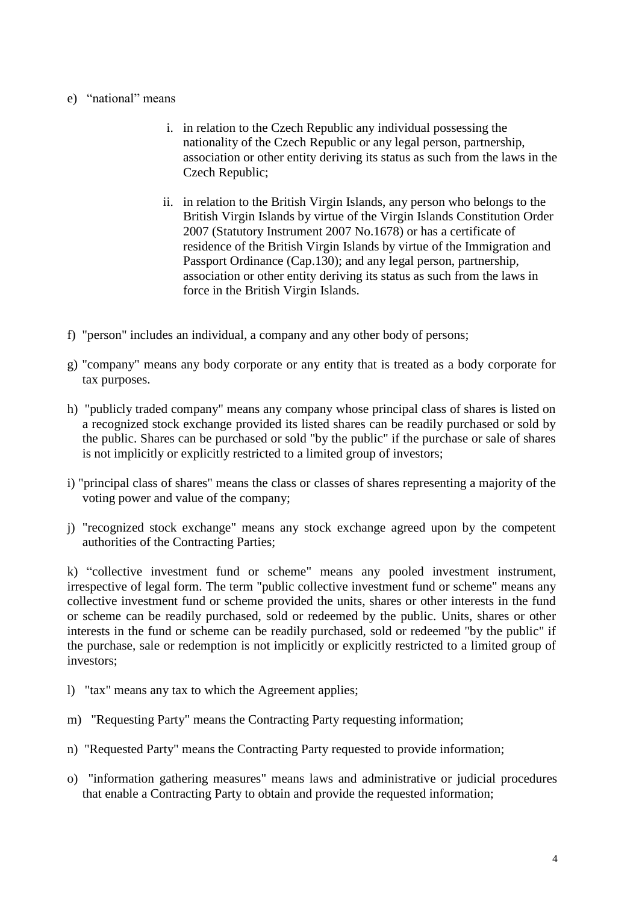## e) "national" means

- i. in relation to the Czech Republic any individual possessing the nationality of the Czech Republic or any legal person, partnership, association or other entity deriving its status as such from the laws in the Czech Republic;
- ii. in relation to the British Virgin Islands, any person who belongs to the British Virgin Islands by virtue of the Virgin Islands Constitution Order 2007 (Statutory Instrument 2007 No.1678) or has a certificate of residence of the British Virgin Islands by virtue of the Immigration and Passport Ordinance (Cap.130); and any legal person, partnership, association or other entity deriving its status as such from the laws in force in the British Virgin Islands.
- f) "person" includes an individual, a company and any other body of persons;
- g) "company" means any body corporate or any entity that is treated as a body corporate for tax purposes.
- h) "publicly traded company" means any company whose principal class of shares is listed on a recognized stock exchange provided its listed shares can be readily purchased or sold by the public. Shares can be purchased or sold "by the public" if the purchase or sale of shares is not implicitly or explicitly restricted to a limited group of investors;
- i) "principal class of shares" means the class or classes of shares representing a majority of the voting power and value of the company;
- j) "recognized stock exchange" means any stock exchange agreed upon by the competent authorities of the Contracting Parties;

k) "collective investment fund or scheme" means any pooled investment instrument, irrespective of legal form. The term "public collective investment fund or scheme" means any collective investment fund or scheme provided the units, shares or other interests in the fund or scheme can be readily purchased, sold or redeemed by the public. Units, shares or other interests in the fund or scheme can be readily purchased, sold or redeemed "by the public" if the purchase, sale or redemption is not implicitly or explicitly restricted to a limited group of investors;

- l) "tax" means any tax to which the Agreement applies;
- m) "Requesting Party" means the Contracting Party requesting information;
- n) "Requested Party" means the Contracting Party requested to provide information;
- o) "information gathering measures" means laws and administrative or judicial procedures that enable a Contracting Party to obtain and provide the requested information;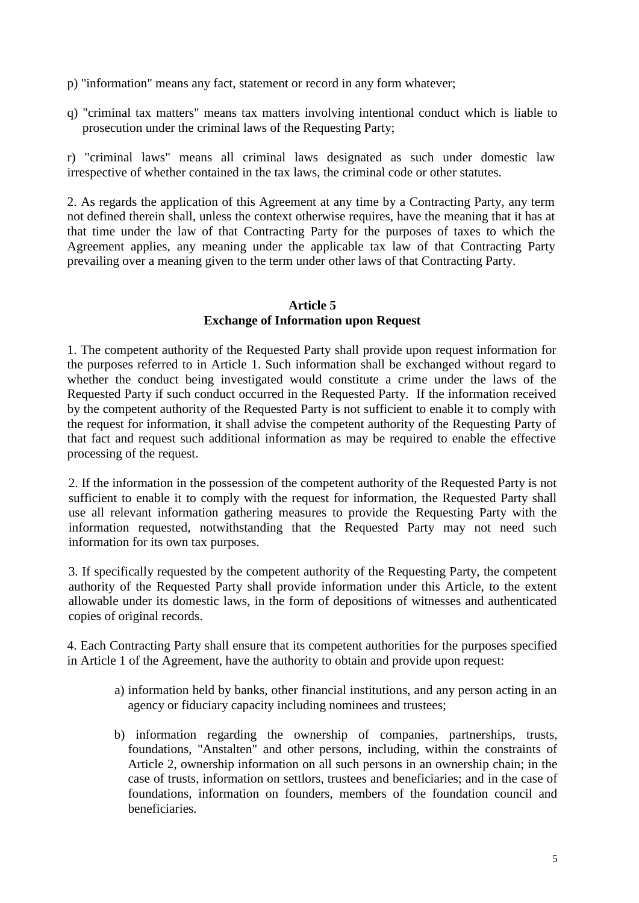- p) "information" means any fact, statement or record in any form whatever;
- q) "criminal tax matters" means tax matters involving intentional conduct which is liable to prosecution under the criminal laws of the Requesting Party;

r) "criminal laws" means all criminal laws designated as such under domestic law irrespective of whether contained in the tax laws, the criminal code or other statutes.

2. As regards the application of this Agreement at any time by a Contracting Party, any term not defined therein shall, unless the context otherwise requires, have the meaning that it has at that time under the law of that Contracting Party for the purposes of taxes to which the Agreement applies, any meaning under the applicable tax law of that Contracting Party prevailing over a meaning given to the term under other laws of that Contracting Party.

### **Article 5**

# **Exchange of Information upon Request**

1. The competent authority of the Requested Party shall provide upon request information for the purposes referred to in Article 1. Such information shall be exchanged without regard to whether the conduct being investigated would constitute a crime under the laws of the Requested Party if such conduct occurred in the Requested Party. If the information received by the competent authority of the Requested Party is not sufficient to enable it to comply with the request for information, it shall advise the competent authority of the Requesting Party of that fact and request such additional information as may be required to enable the effective processing of the request.

2. If the information in the possession of the competent authority of the Requested Party is not sufficient to enable it to comply with the request for information, the Requested Party shall use all relevant information gathering measures to provide the Requesting Party with the information requested, notwithstanding that the Requested Party may not need such information for its own tax purposes.

3. If specifically requested by the competent authority of the Requesting Party, the competent authority of the Requested Party shall provide information under this Article, to the extent allowable under its domestic laws, in the form of depositions of witnesses and authenticated copies of original records.

4. Each Contracting Party shall ensure that its competent authorities for the purposes specified in Article 1 of the Agreement, have the authority to obtain and provide upon request:

- a) information held by banks, other financial institutions, and any person acting in an agency or fiduciary capacity including nominees and trustees;
- b) information regarding the ownership of companies, partnerships, trusts, foundations, "Anstalten" and other persons, including, within the constraints of Article 2, ownership information on all such persons in an ownership chain; in the case of trusts, information on settlors, trustees and beneficiaries; and in the case of foundations, information on founders, members of the foundation council and beneficiaries.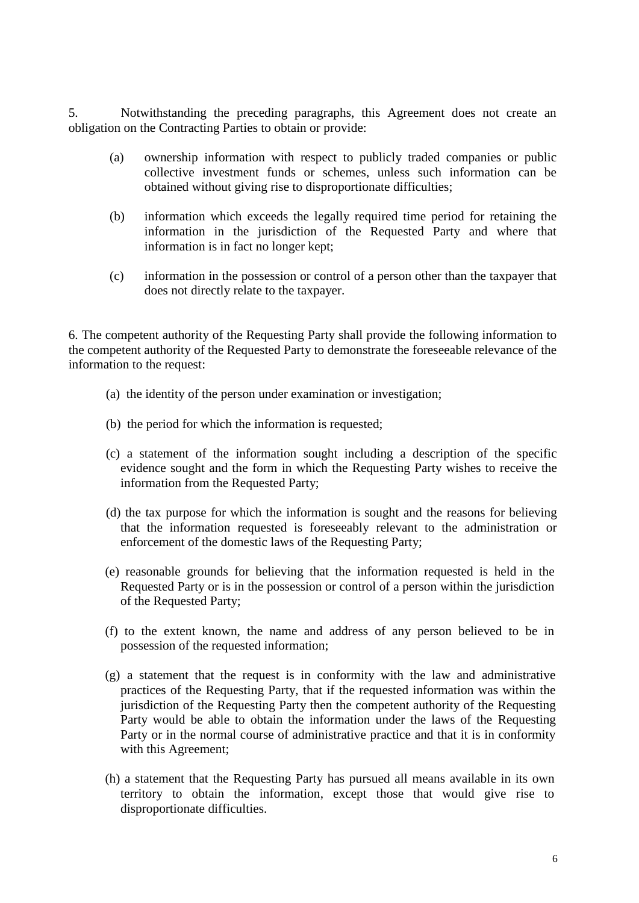5. Notwithstanding the preceding paragraphs, this Agreement does not create an obligation on the Contracting Parties to obtain or provide:

- (a) ownership information with respect to publicly traded companies or public collective investment funds or schemes, unless such information can be obtained without giving rise to disproportionate difficulties;
- (b) information which exceeds the legally required time period for retaining the information in the jurisdiction of the Requested Party and where that information is in fact no longer kept;
- (c) information in the possession or control of a person other than the taxpayer that does not directly relate to the taxpayer.

6. The competent authority of the Requesting Party shall provide the following information to the competent authority of the Requested Party to demonstrate the foreseeable relevance of the information to the request:

- (a) the identity of the person under examination or investigation;
- (b) the period for which the information is requested;
- (c) a statement of the information sought including a description of the specific evidence sought and the form in which the Requesting Party wishes to receive the information from the Requested Party;
- (d) the tax purpose for which the information is sought and the reasons for believing that the information requested is foreseeably relevant to the administration or enforcement of the domestic laws of the Requesting Party;
- (e) reasonable grounds for believing that the information requested is held in the Requested Party or is in the possession or control of a person within the jurisdiction of the Requested Party;
- (f) to the extent known, the name and address of any person believed to be in possession of the requested information;
- (g) a statement that the request is in conformity with the law and administrative practices of the Requesting Party, that if the requested information was within the jurisdiction of the Requesting Party then the competent authority of the Requesting Party would be able to obtain the information under the laws of the Requesting Party or in the normal course of administrative practice and that it is in conformity with this Agreement;
- (h) a statement that the Requesting Party has pursued all means available in its own territory to obtain the information, except those that would give rise to disproportionate difficulties.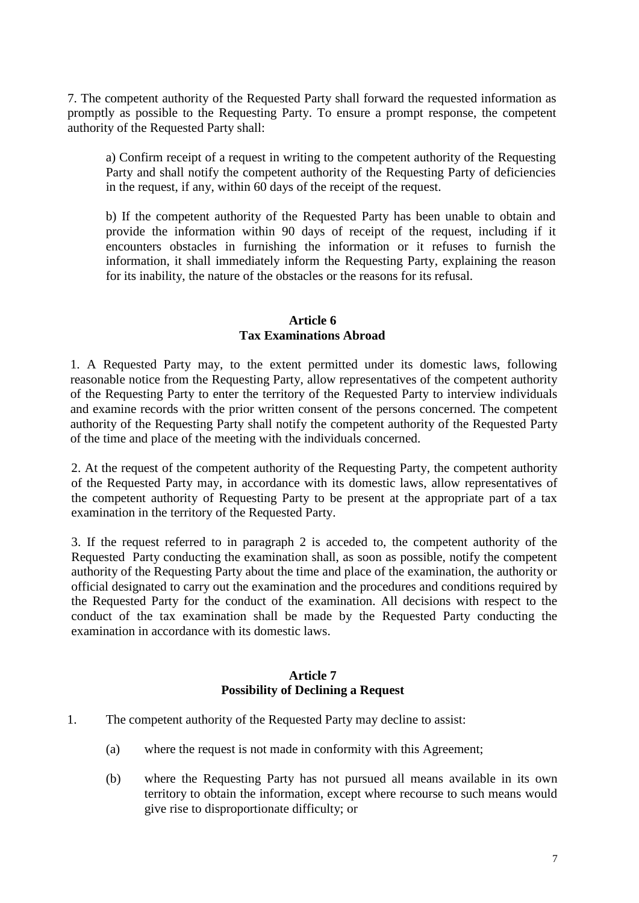7. The competent authority of the Requested Party shall forward the requested information as promptly as possible to the Requesting Party. To ensure a prompt response, the competent authority of the Requested Party shall:

a) Confirm receipt of a request in writing to the competent authority of the Requesting Party and shall notify the competent authority of the Requesting Party of deficiencies in the request, if any, within 60 days of the receipt of the request.

b) If the competent authority of the Requested Party has been unable to obtain and provide the information within 90 days of receipt of the request, including if it encounters obstacles in furnishing the information or it refuses to furnish the information, it shall immediately inform the Requesting Party, explaining the reason for its inability, the nature of the obstacles or the reasons for its refusal.

### **Article 6 Tax Examinations Abroad**

1. A Requested Party may, to the extent permitted under its domestic laws, following reasonable notice from the Requesting Party, allow representatives of the competent authority of the Requesting Party to enter the territory of the Requested Party to interview individuals and examine records with the prior written consent of the persons concerned. The competent authority of the Requesting Party shall notify the competent authority of the Requested Party of the time and place of the meeting with the individuals concerned.

2. At the request of the competent authority of the Requesting Party, the competent authority of the Requested Party may, in accordance with its domestic laws, allow representatives of the competent authority of Requesting Party to be present at the appropriate part of a tax examination in the territory of the Requested Party.

3. If the request referred to in paragraph 2 is acceded to, the competent authority of the Requested Party conducting the examination shall, as soon as possible, notify the competent authority of the Requesting Party about the time and place of the examination, the authority or official designated to carry out the examination and the procedures and conditions required by the Requested Party for the conduct of the examination. All decisions with respect to the conduct of the tax examination shall be made by the Requested Party conducting the examination in accordance with its domestic laws.

# **Article 7 Possibility of Declining a Request**

- 1. The competent authority of the Requested Party may decline to assist:
	- (a) where the request is not made in conformity with this Agreement;
	- (b) where the Requesting Party has not pursued all means available in its own territory to obtain the information, except where recourse to such means would give rise to disproportionate difficulty; or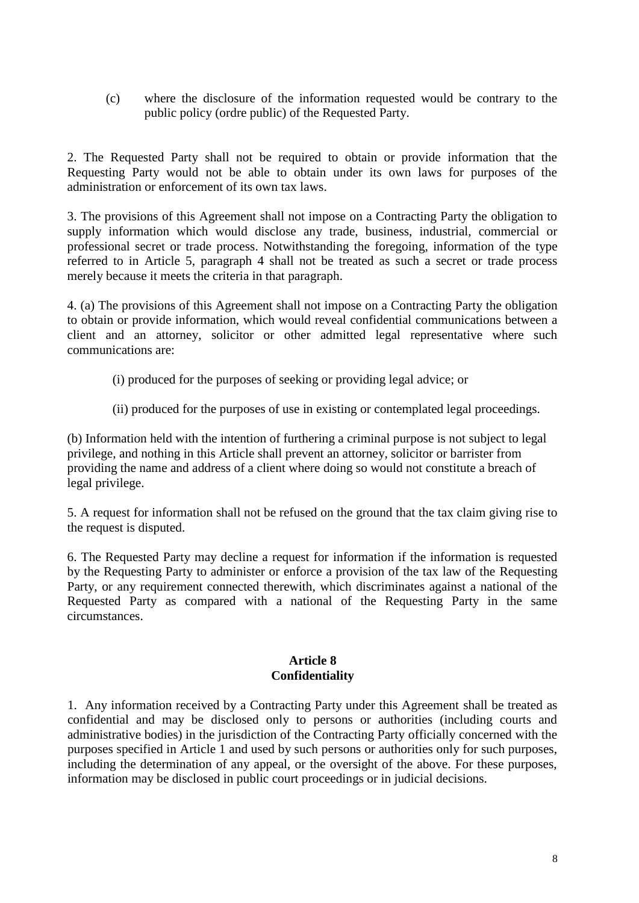(c) where the disclosure of the information requested would be contrary to the public policy (ordre public) of the Requested Party.

2. The Requested Party shall not be required to obtain or provide information that the Requesting Party would not be able to obtain under its own laws for purposes of the administration or enforcement of its own tax laws.

3. The provisions of this Agreement shall not impose on a Contracting Party the obligation to supply information which would disclose any trade, business, industrial, commercial or professional secret or trade process. Notwithstanding the foregoing, information of the type referred to in Article 5, paragraph 4 shall not be treated as such a secret or trade process merely because it meets the criteria in that paragraph.

4. (a) The provisions of this Agreement shall not impose on a Contracting Party the obligation to obtain or provide information, which would reveal confidential communications between a client and an attorney, solicitor or other admitted legal representative where such communications are:

- (i) produced for the purposes of seeking or providing legal advice; or
- (ii) produced for the purposes of use in existing or contemplated legal proceedings.

(b) Information held with the intention of furthering a criminal purpose is not subject to legal privilege, and nothing in this Article shall prevent an attorney, solicitor or barrister from providing the name and address of a client where doing so would not constitute a breach of legal privilege.

5. A request for information shall not be refused on the ground that the tax claim giving rise to the request is disputed.

6. The Requested Party may decline a request for information if the information is requested by the Requesting Party to administer or enforce a provision of the tax law of the Requesting Party, or any requirement connected therewith, which discriminates against a national of the Requested Party as compared with a national of the Requesting Party in the same circumstances.

### **Article 8 Confidentiality**

1. Any information received by a Contracting Party under this Agreement shall be treated as confidential and may be disclosed only to persons or authorities (including courts and administrative bodies) in the jurisdiction of the Contracting Party officially concerned with the purposes specified in Article 1 and used by such persons or authorities only for such purposes, including the determination of any appeal, or the oversight of the above. For these purposes, information may be disclosed in public court proceedings or in judicial decisions.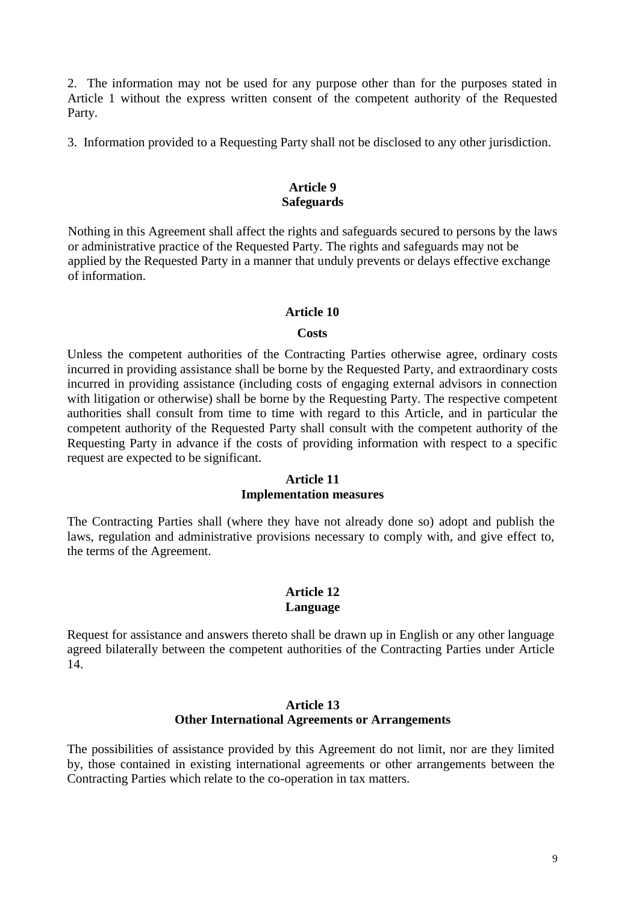2. The information may not be used for any purpose other than for the purposes stated in Article 1 without the express written consent of the competent authority of the Requested Party.

3. Information provided to a Requesting Party shall not be disclosed to any other jurisdiction.

## **Article 9 Safeguards**

Nothing in this Agreement shall affect the rights and safeguards secured to persons by the laws or administrative practice of the Requested Party. The rights and safeguards may not be applied by the Requested Party in a manner that unduly prevents or delays effective exchange of information.

### **Article 10**

#### **Costs**

Unless the competent authorities of the Contracting Parties otherwise agree, ordinary costs incurred in providing assistance shall be borne by the Requested Party, and extraordinary costs incurred in providing assistance (including costs of engaging external advisors in connection with litigation or otherwise) shall be borne by the Requesting Party. The respective competent authorities shall consult from time to time with regard to this Article, and in particular the competent authority of the Requested Party shall consult with the competent authority of the Requesting Party in advance if the costs of providing information with respect to a specific request are expected to be significant.

### **Article 11 Implementation measures**

The Contracting Parties shall (where they have not already done so) adopt and publish the laws, regulation and administrative provisions necessary to comply with, and give effect to, the terms of the Agreement.

# **Article 12 Language**

Request for assistance and answers thereto shall be drawn up in English or any other language agreed bilaterally between the competent authorities of the Contracting Parties under Article 14.

### **Article 13 Other International Agreements or Arrangements**

The possibilities of assistance provided by this Agreement do not limit, nor are they limited by, those contained in existing international agreements or other arrangements between the Contracting Parties which relate to the co-operation in tax matters.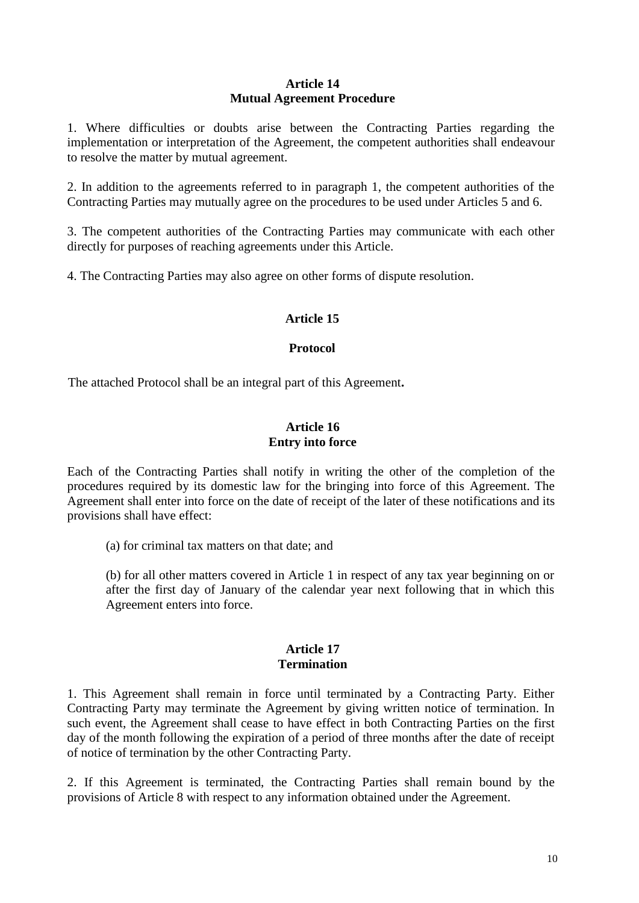### **Article 14 Mutual Agreement Procedure**

1. Where difficulties or doubts arise between the Contracting Parties regarding the implementation or interpretation of the Agreement, the competent authorities shall endeavour to resolve the matter by mutual agreement.

2. In addition to the agreements referred to in paragraph 1, the competent authorities of the Contracting Parties may mutually agree on the procedures to be used under Articles 5 and 6.

3. The competent authorities of the Contracting Parties may communicate with each other directly for purposes of reaching agreements under this Article.

4. The Contracting Parties may also agree on other forms of dispute resolution.

# **Article 15**

### **Protocol**

The attached Protocol shall be an integral part of this Agreement**.**

### **Article 16 Entry into force**

Each of the Contracting Parties shall notify in writing the other of the completion of the procedures required by its domestic law for the bringing into force of this Agreement. The Agreement shall enter into force on the date of receipt of the later of these notifications and its provisions shall have effect:

(a) for criminal tax matters on that date; and

(b) for all other matters covered in Article 1 in respect of any tax year beginning on or after the first day of January of the calendar year next following that in which this Agreement enters into force.

#### **Article 17 Termination**

1. This Agreement shall remain in force until terminated by a Contracting Party. Either Contracting Party may terminate the Agreement by giving written notice of termination. In such event, the Agreement shall cease to have effect in both Contracting Parties on the first day of the month following the expiration of a period of three months after the date of receipt of notice of termination by the other Contracting Party.

2. If this Agreement is terminated, the Contracting Parties shall remain bound by the provisions of Article 8 with respect to any information obtained under the Agreement.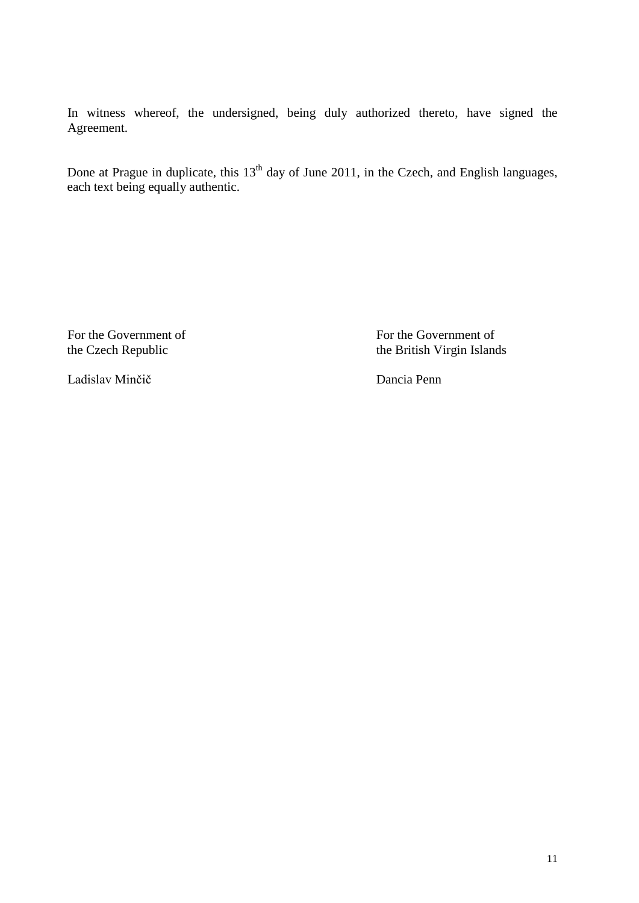In witness whereof, the undersigned, being duly authorized thereto, have signed the Agreement.

Done at Prague in duplicate, this 13<sup>th</sup> day of June 2011, in the Czech, and English languages, each text being equally authentic.

For the Government of<br>the Czech Republic<br>the Sites For the Government of<br>the British Virgin Island

the British Virgin Islands

Ladislav Minčič Dancia Penn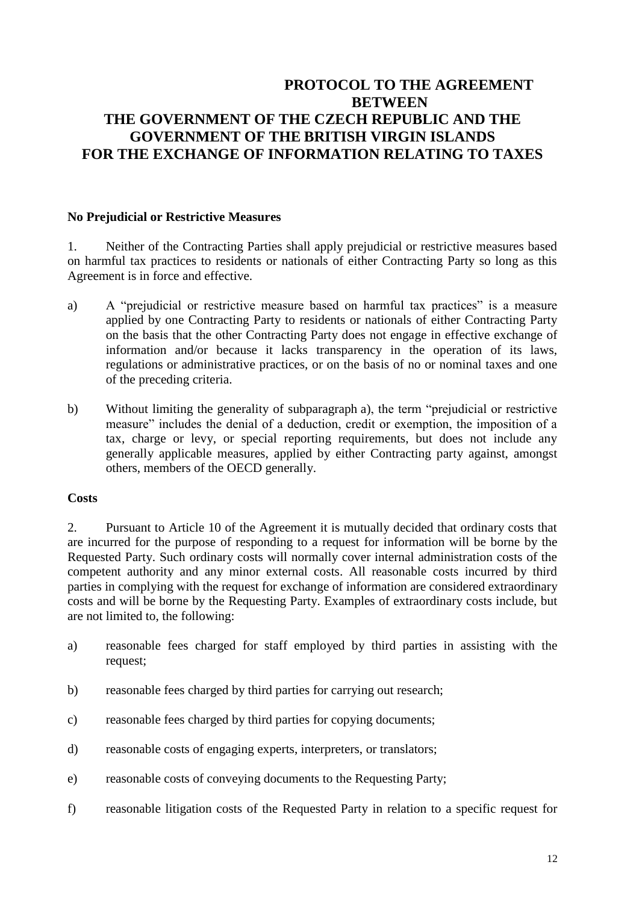# **PROTOCOL TO THE AGREEMENT BETWEEN THE GOVERNMENT OF THE CZECH REPUBLIC AND THE GOVERNMENT OF THE BRITISH VIRGIN ISLANDS FOR THE EXCHANGE OF INFORMATION RELATING TO TAXES**

# **No Prejudicial or Restrictive Measures**

1. Neither of the Contracting Parties shall apply prejudicial or restrictive measures based on harmful tax practices to residents or nationals of either Contracting Party so long as this Agreement is in force and effective.

- a) A "prejudicial or restrictive measure based on harmful tax practices" is a measure applied by one Contracting Party to residents or nationals of either Contracting Party on the basis that the other Contracting Party does not engage in effective exchange of information and/or because it lacks transparency in the operation of its laws, regulations or administrative practices, or on the basis of no or nominal taxes and one of the preceding criteria.
- b) Without limiting the generality of subparagraph a), the term "prejudicial or restrictive measure" includes the denial of a deduction, credit or exemption, the imposition of a tax, charge or levy, or special reporting requirements, but does not include any generally applicable measures, applied by either Contracting party against, amongst others, members of the OECD generally.

### **Costs**

2. Pursuant to Article 10 of the Agreement it is mutually decided that ordinary costs that are incurred for the purpose of responding to a request for information will be borne by the Requested Party. Such ordinary costs will normally cover internal administration costs of the competent authority and any minor external costs. All reasonable costs incurred by third parties in complying with the request for exchange of information are considered extraordinary costs and will be borne by the Requesting Party. Examples of extraordinary costs include, but are not limited to, the following:

- a) reasonable fees charged for staff employed by third parties in assisting with the request;
- b) reasonable fees charged by third parties for carrying out research;
- c) reasonable fees charged by third parties for copying documents;
- d) reasonable costs of engaging experts, interpreters, or translators;
- e) reasonable costs of conveying documents to the Requesting Party;
- f) reasonable litigation costs of the Requested Party in relation to a specific request for